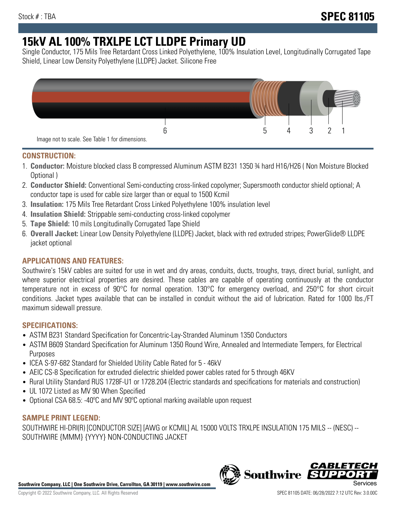# **15kV AL 100% TRXLPE LCT LLDPE Primary UD**

Single Conductor, 175 Mils Tree Retardant Cross Linked Polyethylene, 100% Insulation Level, Longitudinally Corrugated Tape Shield, Linear Low Density Polyethylene (LLDPE) Jacket. Silicone Free



## **CONSTRUCTION:**

- 1. **Conductor:** Moisture blocked class B compressed Aluminum ASTM B231 1350 ¾ hard H16/H26 ( Non Moisture Blocked Optional )
- 2. **Conductor Shield:** Conventional Semi-conducting cross-linked copolymer; Supersmooth conductor shield optional; A conductor tape is used for cable size larger than or equal to 1500 Kcmil
- 3. **Insulation:** 175 Mils Tree Retardant Cross Linked Polyethylene 100% insulation level
- 4. **Insulation Shield:** Strippable semi-conducting cross-linked copolymer
- 5. **Tape Shield:** 10 mils Longitudinally Corrugated Tape Shield
- 6. **Overall Jacket:** Linear Low Density Polyethylene (LLDPE) Jacket, black with red extruded stripes; PowerGlide® LLDPE jacket optional

## **APPLICATIONS AND FEATURES:**

Southwire's 15kV cables are suited for use in wet and dry areas, conduits, ducts, troughs, trays, direct burial, sunlight, and where superior electrical properties are desired. These cables are capable of operating continuously at the conductor temperature not in excess of 90°C for normal operation. 130°C for emergency overload, and 250°C for short circuit conditions. Jacket types available that can be installed in conduit without the aid of lubrication. Rated for 1000 lbs./FT maximum sidewall pressure.

### **SPECIFICATIONS:**

- ASTM B231 Standard Specification for Concentric-Lay-Stranded Aluminum 1350 Conductors
- ASTM B609 Standard Specification for Aluminum 1350 Round Wire, Annealed and Intermediate Tempers, for Electrical Purposes
- ICEA S-97-682 Standard for Shielded Utility Cable Rated for 5 46kV
- AEIC CS-8 Specification for extruded dielectric shielded power cables rated for 5 through 46KV
- Rural Utility Standard RUS 1728F-U1 or 1728.204 (Electric standards and specifications for materials and construction)
- UL 1072 Listed as MV 90 When Specified
- Optional CSA 68.5: -40ºC and MV 90ºC optional marking available upon request

### **SAMPLE PRINT LEGEND:**

SOUTHWIRE HI-DRI(R) [CONDUCTOR SIZE] [AWG or KCMIL] AL 15000 VOLTS TRXLPE INSULATION 175 MILS -- (NESC) -- SOUTHWIRE {MMM} {YYYY} NON-CONDUCTING JACKET

**Southwire Company, LLC | One Southwire Drive, Carrollton, GA 30119 | www.southwire.com**